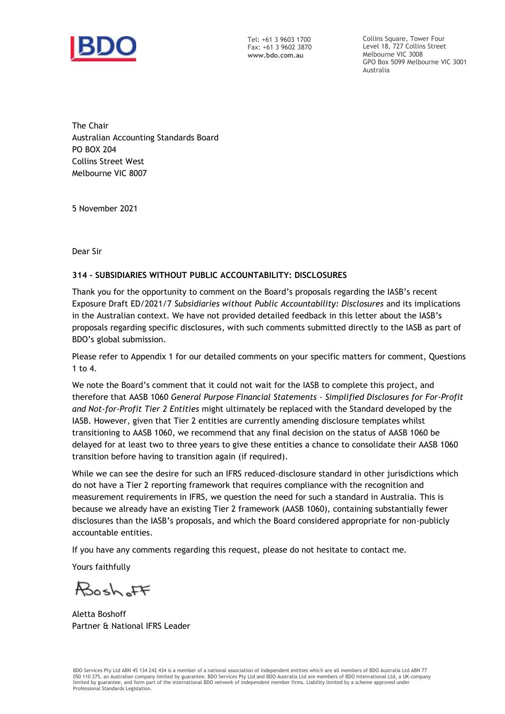

Tel: +61 3 9603 1700 Fax: +61 3 9602 3870 **www.bdo.com.au**

Collins Square, Tower Four Level 18, 727 Collins Street Melbourne VIC 3008 GPO Box 5099 Melbourne VIC 3001 Australia

The Chair Australian Accounting Standards Board PO BOX 204 Collins Street West Melbourne VIC 8007

5 November 2021

Dear Sir

### **314 – SUBSIDIARIES WITHOUT PUBLIC ACCOUNTABILITY: DISCLOSURES**

Thank you for the opportunity to comment on the Board's proposals regarding the IASB's recent Exposure Draft ED/2021/7 *Subsidiaries without Public Accountability: Disclosures* and its implications in the Australian context. We have not provided detailed feedback in this letter about the IASB's proposals regarding specific disclosures, with such comments submitted directly to the IASB as part of BDO's global submission.

Please refer to Appendix 1 for our detailed comments on your specific matters for comment, Questions 1 to 4.

We note the Board's comment that it could not wait for the IASB to complete this project, and therefore that AASB 1060 *General Purpose Financial Statements – Simplified Disclosures for For-Profit and Not-for-Profit Tier 2 Entities* might ultimately be replaced with the Standard developed by the IASB. However, given that Tier 2 entities are currently amending disclosure templates whilst transitioning to AASB 1060, we recommend that any final decision on the status of AASB 1060 be delayed for at least two to three years to give these entities a chance to consolidate their AASB 1060 transition before having to transition again (if required).

While we can see the desire for such an IFRS reduced-disclosure standard in other jurisdictions which do not have a Tier 2 reporting framework that requires compliance with the recognition and measurement requirements in IFRS, we question the need for such a standard in Australia. This is because we already have an existing Tier 2 framework (AASB 1060), containing substantially fewer disclosures than the IASB's proposals, and which the Board considered appropriate for non-publicly accountable entities.

If you have any comments regarding this request, please do not hesitate to contact me.

Yours faithfully

Roch FF

Aletta Boshoff Partner & National IFRS Leader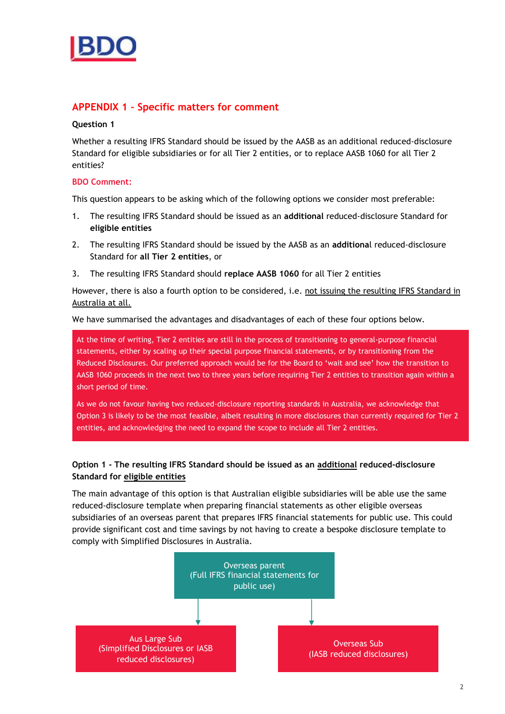

# **APPENDIX 1 – Specific matters for comment**

#### **Question 1**

Whether a resulting IFRS Standard should be issued by the AASB as an additional reduced-disclosure Standard for eligible subsidiaries or for all Tier 2 entities, or to replace AASB 1060 for all Tier 2 entities?

#### **BDO Comment:**

This question appears to be asking which of the following options we consider most preferable:

- 1. The resulting IFRS Standard should be issued as an **additional** reduced-disclosure Standard for **eligible entities**
- 2. The resulting IFRS Standard should be issued by the AASB as an **additiona**l reduced-disclosure Standard for **all Tier 2 entities**, or
- 3. The resulting IFRS Standard should **replace AASB 1060** for all Tier 2 entities

However, there is also a fourth option to be considered, i.e. not issuing the resulting IFRS Standard in Australia at all.

We have summarised the advantages and disadvantages of each of these four options below.

At the time of writing, Tier 2 entities are still in the process of transitioning to general-purpose financial statements, either by scaling up their special purpose financial statements, or by transitioning from the Reduced Disclosures. Our preferred approach would be for the Board to 'wait and see' how the transition to AASB 1060 proceeds in the next two to three years before requiring Tier 2 entities to transition again within a short period of time.

As we do not favour having two reduced-disclosure reporting standards in Australia, we acknowledge that Option 3 is likely to be the most feasible, albeit resulting in more disclosures than currently required for Tier 2 entities, and acknowledging the need to expand the scope to include all Tier 2 entities.

## **Option 1 - The resulting IFRS Standard should be issued as an additional reduced-disclosure Standard for eligible entities**

The main advantage of this option is that Australian eligible subsidiaries will be able use the same reduced-disclosure template when preparing financial statements as other eligible overseas subsidiaries of an overseas parent that prepares IFRS financial statements for public use. This could provide significant cost and time savings by not having to create a bespoke disclosure template to comply with Simplified Disclosures in Australia.

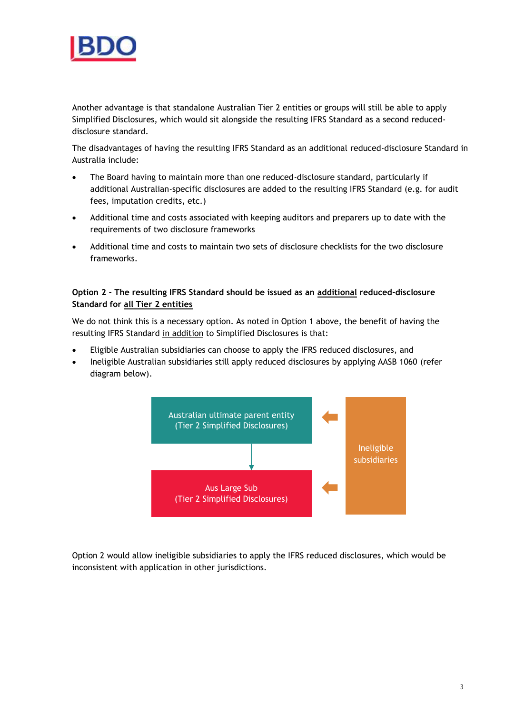

Another advantage is that standalone Australian Tier 2 entities or groups will still be able to apply Simplified Disclosures, which would sit alongside the resulting IFRS Standard as a second reduceddisclosure standard.

The disadvantages of having the resulting IFRS Standard as an additional reduced-disclosure Standard in Australia include:

- The Board having to maintain more than one reduced-disclosure standard, particularly if additional Australian-specific disclosures are added to the resulting IFRS Standard (e.g. for audit fees, imputation credits, etc.)
- Additional time and costs associated with keeping auditors and preparers up to date with the requirements of two disclosure frameworks
- Additional time and costs to maintain two sets of disclosure checklists for the two disclosure frameworks.

## **Option 2 - The resulting IFRS Standard should be issued as an additional reduced-disclosure Standard for all Tier 2 entities**

We do not think this is a necessary option. As noted in Option 1 above, the benefit of having the resulting IFRS Standard in addition to Simplified Disclosures is that:

- Eligible Australian subsidiaries can choose to apply the IFRS reduced disclosures, and
- Ineligible Australian subsidiaries still apply reduced disclosures by applying AASB 1060 (refer diagram below).



Option 2 would allow ineligible subsidiaries to apply the IFRS reduced disclosures, which would be inconsistent with application in other jurisdictions.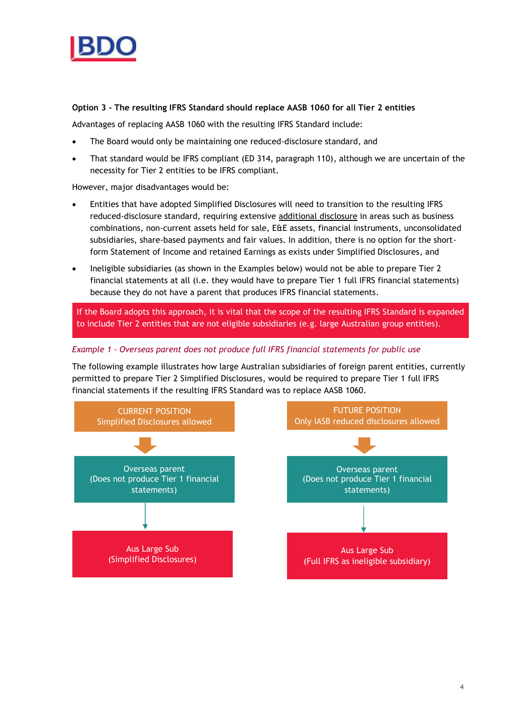

## **Option 3 - The resulting IFRS Standard should replace AASB 1060 for all Tier 2 entities**

Advantages of replacing AASB 1060 with the resulting IFRS Standard include:

- The Board would only be maintaining one reduced-disclosure standard, and
- That standard would be IFRS compliant (ED 314, paragraph 110), although we are uncertain of the necessity for Tier 2 entities to be IFRS compliant.

However, major disadvantages would be:

- Entities that have adopted Simplified Disclosures will need to transition to the resulting IFRS reduced-disclosure standard, requiring extensive additional disclosure in areas such as business combinations, non-current assets held for sale, E&E assets, financial instruments, unconsolidated subsidiaries, share-based payments and fair values. In addition, there is no option for the shortform Statement of Income and retained Earnings as exists under Simplified Disclosures, and
- Ineligible subsidiaries (as shown in the Examples below) would not be able to prepare Tier 2 financial statements at all (i.e. they would have to prepare Tier 1 full IFRS financial statements) because they do not have a parent that produces IFRS financial statements.

If the Board adopts this approach, it is vital that the scope of the resulting IFRS Standard is expanded to include Tier 2 entities that are not eligible subsidiaries (e.g. large Australian group entities).

### *Example 1 – Overseas parent does not produce full IFRS financial statements for public use*

The following example illustrates how large Australian subsidiaries of foreign parent entities, currently permitted to prepare Tier 2 Simplified Disclosures, would be required to prepare Tier 1 full IFRS financial statements if the resulting IFRS Standard was to replace AASB 1060.

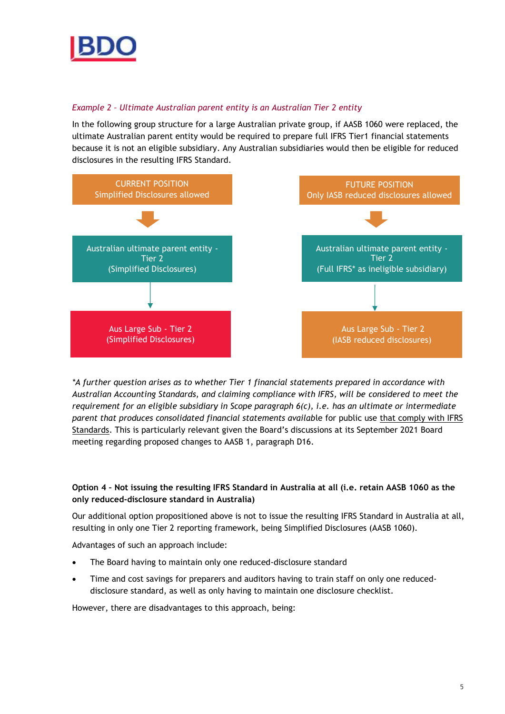

## *Example 2 – Ultimate Australian parent entity is an Australian Tier 2 entity*

In the following group structure for a large Australian private group, if AASB 1060 were replaced, the ultimate Australian parent entity would be required to prepare full IFRS Tier1 financial statements because it is not an eligible subsidiary. Any Australian subsidiaries would then be eligible for reduced disclosures in the resulting IFRS Standard.



*\*A further question arises as to whether Tier 1 financial statements prepared in accordance with Australian Accounting Standards, and claiming compliance with IFRS, will be considered to meet the requirement for an eligible subsidiary in Scope paragraph 6(c), i.e. has an ultimate or intermediate parent that produces consolidated financial statements availab*le for public use that comply with IFRS Standards. This is particularly relevant given the Board's discussions at its September 2021 Board meeting regarding proposed changes to AASB 1, paragraph D16.

## **Option 4 – Not issuing the resulting IFRS Standard in Australia at all (i.e. retain AASB 1060 as the only reduced-disclosure standard in Australia)**

Our additional option propositioned above is not to issue the resulting IFRS Standard in Australia at all, resulting in only one Tier 2 reporting framework, being Simplified Disclosures (AASB 1060).

Advantages of such an approach include:

- The Board having to maintain only one reduced-disclosure standard
- Time and cost savings for preparers and auditors having to train staff on only one reduceddisclosure standard, as well as only having to maintain one disclosure checklist.

However, there are disadvantages to this approach, being: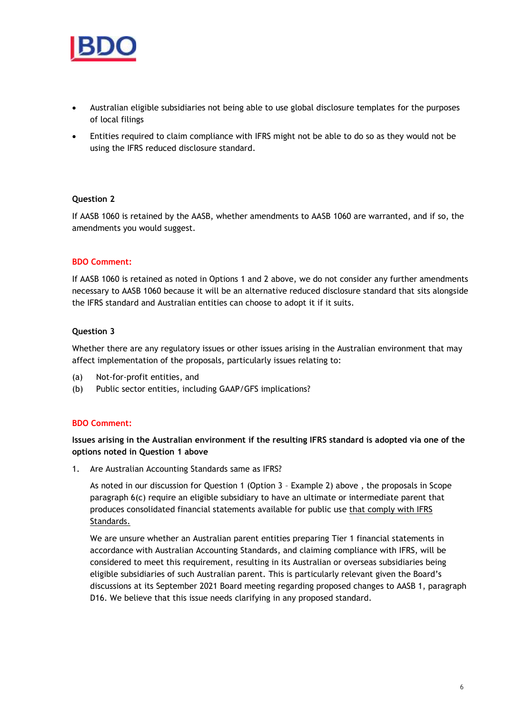

- Australian eligible subsidiaries not being able to use global disclosure templates for the purposes of local filings
- Entities required to claim compliance with IFRS might not be able to do so as they would not be using the IFRS reduced disclosure standard.

### **Question 2**

If AASB 1060 is retained by the AASB, whether amendments to AASB 1060 are warranted, and if so, the amendments you would suggest.

### **BDO Comment:**

If AASB 1060 is retained as noted in Options 1 and 2 above, we do not consider any further amendments necessary to AASB 1060 because it will be an alternative reduced disclosure standard that sits alongside the IFRS standard and Australian entities can choose to adopt it if it suits.

### **Question 3**

Whether there are any regulatory issues or other issues arising in the Australian environment that may affect implementation of the proposals, particularly issues relating to:

- (a) Not-for-profit entities, and
- (b) Public sector entities, including GAAP/GFS implications?

### **BDO Comment:**

### **Issues arising in the Australian environment if the resulting IFRS standard is adopted via one of the options noted in Question 1 above**

1. Are Australian Accounting Standards same as IFRS?

As noted in our discussion for Question 1 (Option 3 – Example 2) above , the proposals in Scope paragraph 6(c) require an eligible subsidiary to have an ultimate or intermediate parent that produces consolidated financial statements available for public use that comply with IFRS Standards.

We are unsure whether an Australian parent entities preparing Tier 1 financial statements in accordance with Australian Accounting Standards, and claiming compliance with IFRS, will be considered to meet this requirement, resulting in its Australian or overseas subsidiaries being eligible subsidiaries of such Australian parent. This is particularly relevant given the Board's discussions at its September 2021 Board meeting regarding proposed changes to AASB 1, paragraph D16. We believe that this issue needs clarifying in any proposed standard.